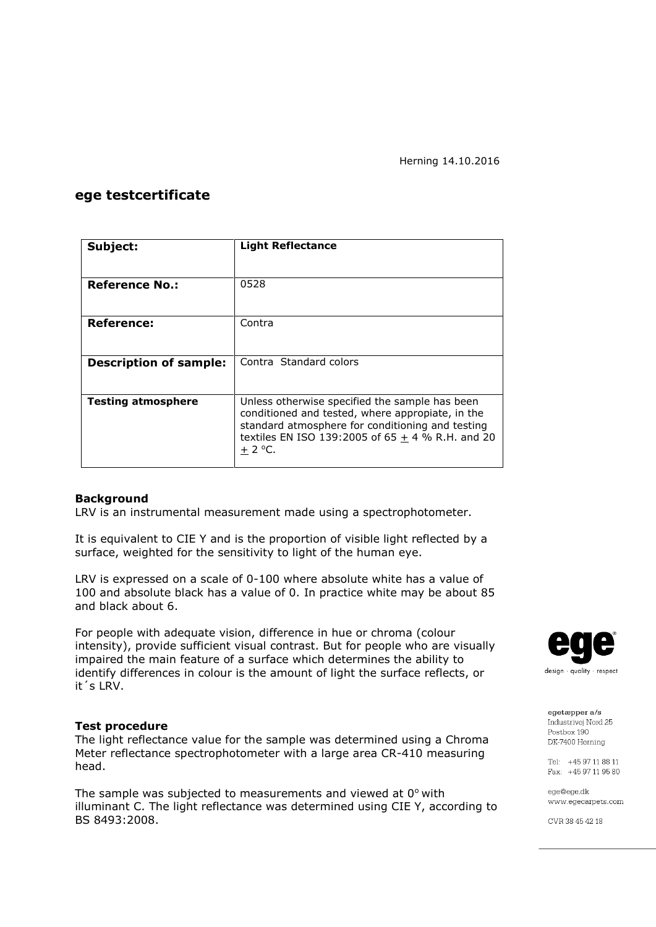### **ege testcertificate**

| Subject:                      | <b>Light Reflectance</b>                                                                                                                                                                                                 |  |  |
|-------------------------------|--------------------------------------------------------------------------------------------------------------------------------------------------------------------------------------------------------------------------|--|--|
|                               |                                                                                                                                                                                                                          |  |  |
| <b>Reference No.:</b>         | 0528                                                                                                                                                                                                                     |  |  |
|                               |                                                                                                                                                                                                                          |  |  |
| Reference:                    | Contra                                                                                                                                                                                                                   |  |  |
|                               |                                                                                                                                                                                                                          |  |  |
| <b>Description of sample:</b> | Contra Standard colors                                                                                                                                                                                                   |  |  |
|                               |                                                                                                                                                                                                                          |  |  |
| <b>Testing atmosphere</b>     | Unless otherwise specified the sample has been<br>conditioned and tested, where appropiate, in the<br>standard atmosphere for conditioning and testing<br>textiles EN ISO 139:2005 of $65 + 4$ % R.H. and 20<br>$+2$ °C. |  |  |

### **Background**

LRV is an instrumental measurement made using a spectrophotometer.

It is equivalent to CIE Y and is the proportion of visible light reflected by a surface, weighted for the sensitivity to light of the human eye.

LRV is expressed on a scale of 0-100 where absolute white has a value of 100 and absolute black has a value of 0. In practice white may be about 85 and black about 6.

For people with adequate vision, difference in hue or chroma (colour intensity), provide sufficient visual contrast. But for people who are visually impaired the main feature of a surface which determines the ability to identify differences in colour is the amount of light the surface reflects, or it´s LRV.

### **Test procedure**

The light reflectance value for the sample was determined using a Chroma Meter reflectance spectrophotometer with a large area CR-410 measuring head.

The sample was subjected to measurements and viewed at  $0^{\circ}$  with illuminant C. The light reflectance was determined using CIE Y, according to BS 8493:2008.



egetæpper a/s Industrivei Nord 25 Postbox 190 DK-7400 Herning

Tel: +45 97 11 88 11 Fax: +45 97 11 95 80

ege@ege.dk www.egecarpets.com

CVR 38 45 42 18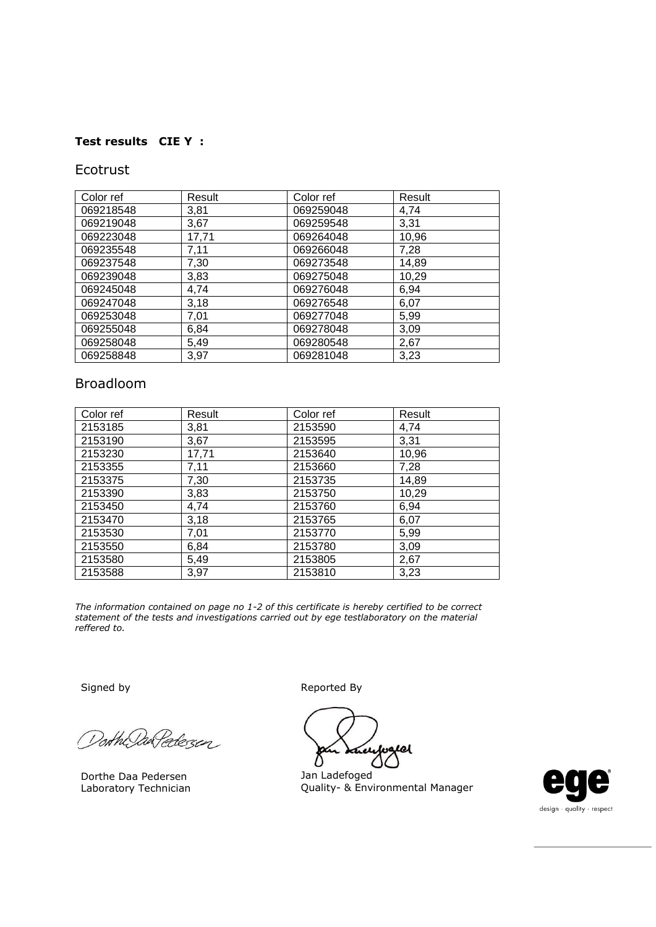## **Test results CIE Y :**

## Ecotrust

| Color ref | Result | Color ref | Result |
|-----------|--------|-----------|--------|
| 069218548 | 3,81   | 069259048 | 4,74   |
| 069219048 | 3,67   | 069259548 | 3,31   |
| 069223048 | 17,71  | 069264048 | 10,96  |
| 069235548 | 7,11   | 069266048 | 7,28   |
| 069237548 | 7,30   | 069273548 | 14,89  |
| 069239048 | 3,83   | 069275048 | 10,29  |
| 069245048 | 4,74   | 069276048 | 6,94   |
| 069247048 | 3,18   | 069276548 | 6,07   |
| 069253048 | 7,01   | 069277048 | 5,99   |
| 069255048 | 6,84   | 069278048 | 3,09   |
| 069258048 | 5,49   | 069280548 | 2,67   |
| 069258848 | 3,97   | 069281048 | 3,23   |

# Broadloom

| Color ref | Result | Color ref | Result |
|-----------|--------|-----------|--------|
| 2153185   | 3,81   | 2153590   | 4,74   |
| 2153190   | 3,67   | 2153595   | 3,31   |
| 2153230   | 17,71  | 2153640   | 10,96  |
| 2153355   | 7,11   | 2153660   | 7,28   |
| 2153375   | 7,30   | 2153735   | 14,89  |
| 2153390   | 3,83   | 2153750   | 10,29  |
| 2153450   | 4,74   | 2153760   | 6,94   |
| 2153470   | 3,18   | 2153765   | 6,07   |
| 2153530   | 7,01   | 2153770   | 5,99   |
| 2153550   | 6,84   | 2153780   | 3,09   |
| 2153580   | 5,49   | 2153805   | 2,67   |
| 2153588   | 3,97   | 2153810   | 3,23   |

*The information contained on page no 1-2 of this certificate is hereby certified to be correct statement of the tests and investigations carried out by ege testlaboratory on the material reffered to.*

orthe DarPedezen

Dorthe Daa Pedersen Laboratory Technician

Signed by Reported By

Welet

Jan Ladefoged Quality- & Environmental Manager